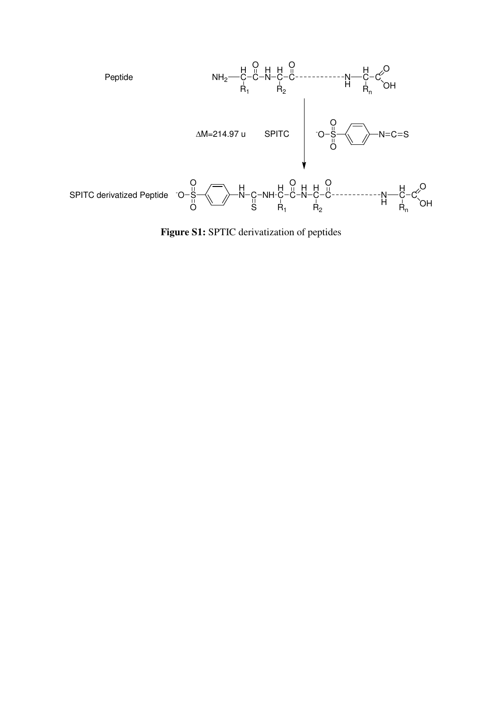

**Figure S1:** SPTIC derivatization of peptides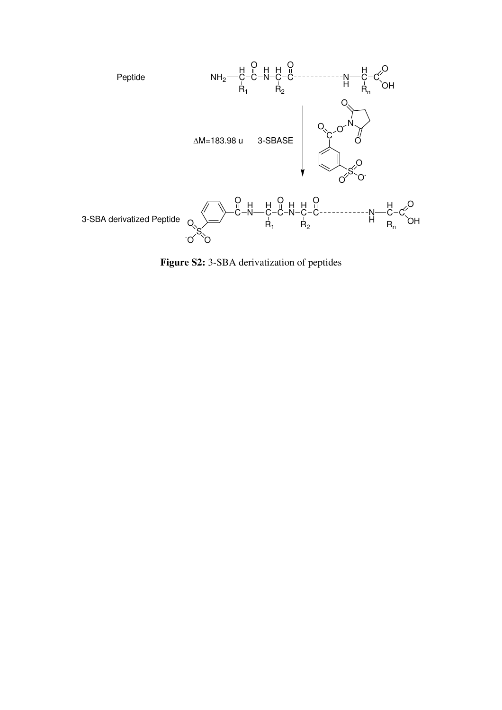

**Figure S2:** 3-SBA derivatization of peptides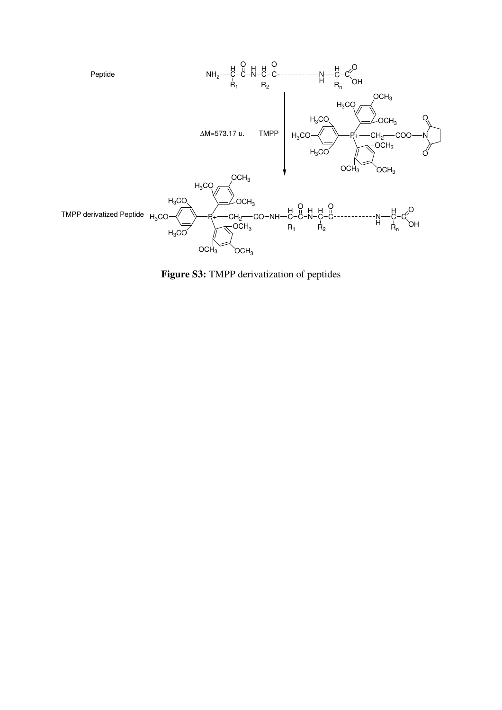

**Figure S3:** TMPP derivatization of peptides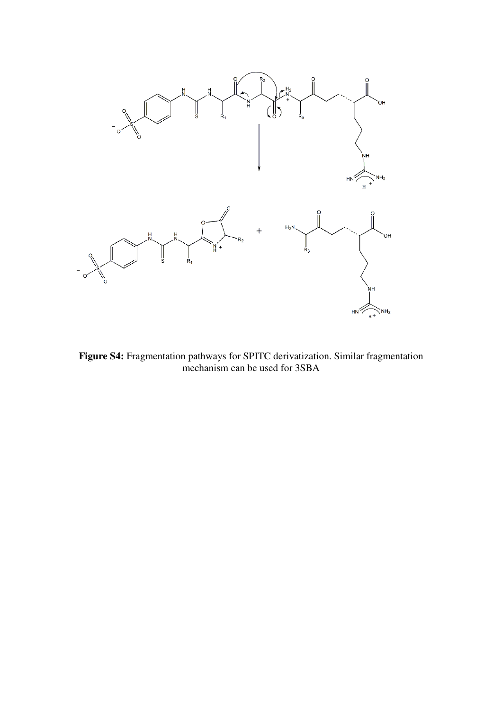

**Figure S4:** Fragmentation pathways for SPITC derivatization. Similar fragmentation mechanism can be used for 3SBA